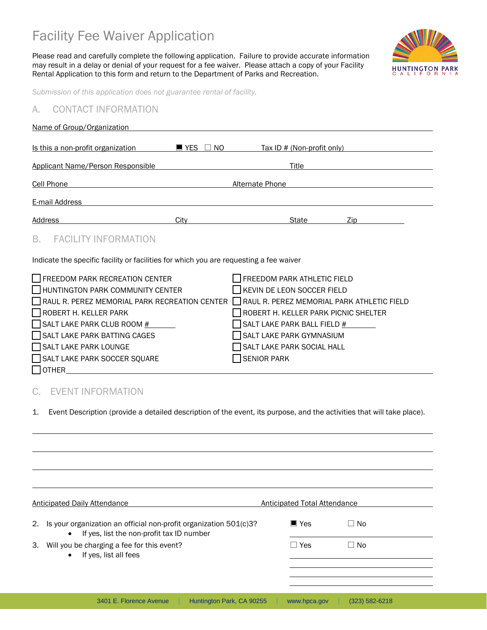# Facility Fee Waiver Application

Please read and carefully complete the following application. Failure to provide accurate information may result in a delay or denial of your request for a fee waiver. Please attach a copy of your Facility Rental Application to this form and return to the Department of Parks and Recreation.



*Submission of this application does not guarantee rental of facility.*

## A. CONTACT INFORMATION

| Name of Group/Organization                                                                                                                                                                                                                                                                                                   |                                  |                                                                                                                                                                                                                         |      |  |
|------------------------------------------------------------------------------------------------------------------------------------------------------------------------------------------------------------------------------------------------------------------------------------------------------------------------------|----------------------------------|-------------------------------------------------------------------------------------------------------------------------------------------------------------------------------------------------------------------------|------|--|
| Is this a non-profit organization                                                                                                                                                                                                                                                                                            | $\blacksquare$ YES $\Box$<br>NO. | Tax ID # (Non-profit only)                                                                                                                                                                                              |      |  |
| Applicant Name/Person Responsible                                                                                                                                                                                                                                                                                            |                                  | Title                                                                                                                                                                                                                   |      |  |
| <b>Cell Phone</b>                                                                                                                                                                                                                                                                                                            |                                  | <b>Alternate Phone</b>                                                                                                                                                                                                  |      |  |
| E-mail Address                                                                                                                                                                                                                                                                                                               |                                  |                                                                                                                                                                                                                         |      |  |
| Address                                                                                                                                                                                                                                                                                                                      | City                             | State                                                                                                                                                                                                                   | Zip. |  |
| <b>FACILITY INFORMATION</b><br>В.                                                                                                                                                                                                                                                                                            |                                  |                                                                                                                                                                                                                         |      |  |
| Indicate the specific facility or facilities for which you are requesting a fee waiver                                                                                                                                                                                                                                       |                                  |                                                                                                                                                                                                                         |      |  |
| I I FREEDOM PARK RECREATION CENTER<br>HUNTINGTON PARK COMMUNITY CENTER<br>RAUL R. PEREZ MEMORIAL PARK RECREATION CENTER RAUL R. PEREZ MEMORIAL PARK ATHLETIC FIELD<br>ROBERT H. KELLER PARK<br>$\Box$ SALT LAKE PARK CLUB ROOM $\#$<br>SALT LAKE PARK BATTING CAGES<br>SALT LAKE PARK LOUNGE<br>SALT LAKE PARK SOCCER SQUARE |                                  | FREEDOM PARK ATHLETIC FIELD<br>KEVIN DE LEON SOCCER FIELD<br>ROBERT H. KELLER PARK PICNIC SHELTER<br>SALT LAKE PARK BALL FIELD #<br>SALT LAKE PARK GYMNASIUM<br><b>SALT LAKE PARK SOCIAL HALL</b><br><b>SENIOR PARK</b> |      |  |
|                                                                                                                                                                                                                                                                                                                              |                                  |                                                                                                                                                                                                                         |      |  |

# C. EVENT INFORMATION

 $\Box$  OTHER

 $\overline{a}$ 

1. Event Description (provide a detailed description of the event, its purpose, and the activities that will take place).

|    | Anticipated Daily Attendance                                                                                                | Anticipated Total Attendance |                    |
|----|-----------------------------------------------------------------------------------------------------------------------------|------------------------------|--------------------|
| 2. | Is your organization an official non-profit organization 501(c)3?<br>If yes, list the non-profit tax ID number<br>$\bullet$ | $\blacksquare$ Yes           | $\Box$ No          |
| 3. | Will you be charging a fee for this event?<br>If yes, list all fees<br>$\bullet$                                            | $\Box$ Yes                   | $\Box$ No          |
|    |                                                                                                                             |                              |                    |
|    | 3401 E. Florence Avenue<br>Huntington Park, CA 90255                                                                        | www.hpca.gov                 | $(323) 582 - 6218$ |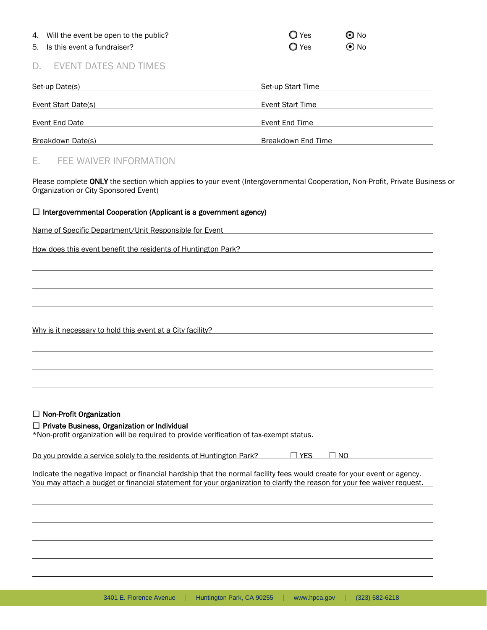| 4. Will the event be open to the public? | $\bigcirc$ Yes | $\odot$ No |
|------------------------------------------|----------------|------------|
| 5. Is this event a fundraiser?           | $\bigcirc$ Yes | $\odot$ No |

## D. EVENT DATES AND TIMES

| Set-up Date(s)             | Set-up Start Time  |
|----------------------------|--------------------|
| <b>Event Start Date(s)</b> | Event Start Time   |
| Event End Date             | Event End Time     |
| Breakdown Date(s)          | Breakdown End Time |

# E. FEE WAIVER INFORMATION

Please complete **ONLY** the section which applies to your event (Intergovernmental Cooperation, Non-Profit, Private Business or Organization or City Sponsored Event)

#### $\Box$  Intergovernmental Cooperation (Applicant is a government agency)

|  |  | Name of Specific Department/Unit Responsible for Event |  |
|--|--|--------------------------------------------------------|--|
|  |  |                                                        |  |

How does this event benefit the residents of Huntington Park?

Why is it necessary to hold this event at a City facility?

#### $\Box$  Non-Profit Organization

#### $\Box$  Private Business, Organization or Individual

\*Non-profit organization will be required to provide verification of tax-exempt status.

Do you provide a service solely to the residents of Huntington Park?  $\Box$  YES  $\Box$  NO

Indicate the negative impact or financial hardship that the normal facility fees would create for your event or agency. You may attach a budget or financial statement for your organization to clarify the reason for your fee waiver request.